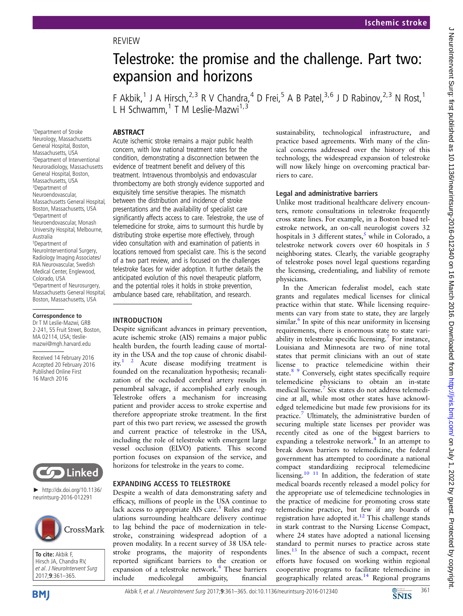# REVIEW

# Telestroke: the promise and the challenge. Part two: expansion and horizons

F Akbik,<sup>1</sup> J A Hirsch,<sup>2,3</sup> R V Chandra,<sup>4</sup> D Frei,<sup>5</sup> A B Patel,<sup>3,6</sup> J D Rabinov,<sup>2,3</sup> N Rost,<sup>1</sup> L H Schwamm,  $1$  T M Leslie-Mazwi $1,3$ 

## ABSTRACT

INTRODUCTION

Acute ischemic stroke remains a major public health concern, with low national treatment rates for the condition, demonstrating a disconnection between the evidence of treatment benefit and delivery of this treatment. Intravenous thrombolysis and endovascular thrombectomy are both strongly evidence supported and exquisitely time sensitive therapies. The mismatch between the distribution and incidence of stroke presentations and the availability of specialist care significantly affects access to care. Telestroke, the use of telemedicine for stroke, aims to surmount this hurdle by distributing stroke expertise more effectively, through video consultation with and examination of patients in locations removed from specialist care. This is the second of a two part review, and is focused on the challenges telestroke faces for wider adoption. It further details the anticipated evolution of this novel therapeutic platform, and the potential roles it holds in stroke prevention, ambulance based care, rehabilitation, and research.

Despite significant advances in primary prevention, acute ischemic stroke (AIS) remains a major public health burden, the fourth leading cause of mortality in the USA and the top cause of chronic disability.[1 2](#page-4-0) Acute disease modifying treatment is founded on the recanalization hypothesis; recanalization of the occluded cerebral artery results in penumbral salvage, if accomplished early enough. Telestroke offers a mechanism for increasing patient and provider access to stroke expertise and therefore appropriate stroke treatment. In the first part of this two part review, we assessed the growth and current practice of telestroke in the USA, including the role of telestroke with emergent large vessel occlusion (ELVO) patients. This second portion focuses on expansion of the service, and horizons for telestroke in the years to come.

1 Department of Stroke Neurology, Massachusetts General Hospital, Boston, Massachusetts, USA 2 Department of Interventional Neuroradiology, Massachusetts General Hospital, Boston, Massachusetts, USA 3 Department of Neuroendovascular, Massachusetts General Hospital, Boston, Massachusetts, USA 4 Department of Neuroendovascular, Monash University Hospital, Melbourne, **Australia** 5 Department of NeuroInterventional Surgery, Radiology Imaging Associates/ RIA Neurovascular, Swedish Medical Center, Englewood, Colorado, USA 6 Department of Neurosurgery, Massachusetts General Hospital, Boston, Massachusetts, USA

#### **Correspondence to**

Dr T M Leslie-Mazwi, GRB 2-241, 55 Fruit Street, Boston, MA 02114, USA; tlesliemazwi@mgh.harvard.edu

Received 14 February 2016 Accepted 20 February 2016 Published Online First 16 March 2016



► http://dx.doi.org/10.1136/ neurintsurg-2016-012291



**To cite:** Akbik F, Hirsch JA, Chandra RV, et al. J NeuroIntervent Surg 2017;**9**:361–365.



#### proven modality. In a recent survey of 38 USA telestroke programs, the majority of respondents reported significant barriers to the creation or

EXPANDING ACCESS TO TELESTROKE

Despite a wealth of data demonstrating safety and efficacy, millions of people in the USA continue to lack access to appropriate AIS care. $3$  Rules and regulations surrounding healthcare delivery continue to lag behind the pace of modernization in telestroke, constraining widespread adoption of a

expansion of a telestroke network.<sup>[4](#page-4-0)</sup> These barriers include medicolegal ambiguity, financial

sustainability, technological infrastructure, and practice based agreements. With many of the clinical concerns addressed over the history of this technology, the widespread expansion of telestroke will now likely hinge on overcoming practical barriers to care.

#### Legal and administrative barriers

Unlike most traditional healthcare delivery encounters, remote consultations in telestroke frequently cross state lines. For example, in a Boston based telestroke network, an on-call neurologist covers 32 hospitals in 3 different states, $5$  while in Colorado, a telestroke network covers over 60 hospitals in 5 neighboring states. Clearly, the variable geography of telestroke poses novel legal questions regarding the licensing, credentialing, and liability of remote physicians.

In the American federalist model, each state grants and regulates medical licenses for clinical practice within that state. While licensing requirements can vary from state to state, they are largely similar.<sup>[6](#page-4-0)</sup> In spite of this near uniformity in licensing requirements, there is enormous state to state vari-ability in telestroke specific licensing.<sup>[7](#page-4-0)</sup> For instance, Louisiana and Minnesota are two of nine total states that permit clinicians with an out of state license to practice telemedicine within their state.<sup>8</sup> <sup>9</sup> Conversely, eight states specifically require telemedicine physicians to obtain an in-state medical license.[7](#page-4-0) Six states do not address telemedicine at all, while most other states have acknowledged telemedicine but made few provisions for its practice.[7](#page-4-0) Ultimately, the administrative burden of securing multiple state licenses per provider was recently cited as one of the biggest barriers to expanding a telestroke network.<sup>[4](#page-4-0)</sup> In an attempt to break down barriers to telemedicine, the federal government has attempted to coordinate a national compact standardizing reciprocal telemedicine licensing.<sup>[10 11](#page-4-0)</sup> In addition, the federation of state medical boards recently released a model policy for the appropriate use of telemedicine technologies in the practice of medicine for promoting cross state telemedicine practice, but few if any boards of registration have adopted it.<sup>[12](#page-4-0)</sup> This challenge stands in stark contrast to the Nursing License Compact, where 24 states have adopted a national licensing standard to permit nurses to practice across state lines. $13$  In the absence of such a compact, recent efforts have focused on working within regional cooperative programs to facilitate telemedicine in geographically related areas.<sup>14</sup> Regional programs

Akbik F, et al. J NeuroIntervent Surg 2017;**9**:361–365. doi:10.1136/neurintsurg-2016-012340 **361** 361

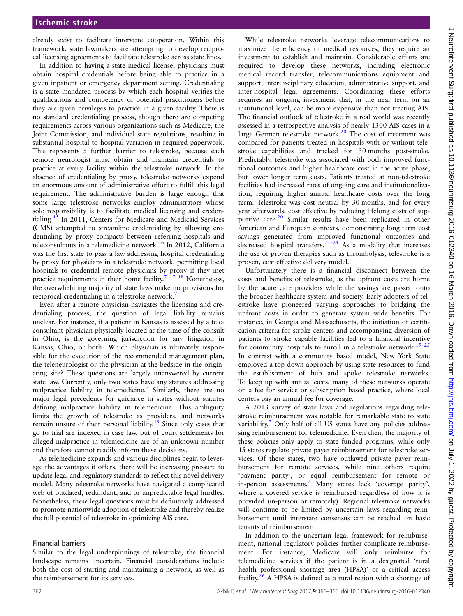already exist to facilitate interstate cooperation. Within this framework, state lawmakers are attempting to develop reciprocal licensing agreements to facilitate telestroke across state lines.

In addition to having a state medical license, physicians must obtain hospital credentials before being able to practice in a given inpatient or emergency department setting. Credentialing is a state mandated process by which each hospital verifies the qualifications and competency of potential practitioners before they are given privileges to practice in a given facility. There is no standard credentialing process, though there are competing requirements across various organizations such as Medicare, the Joint Commission, and individual state regulations, resulting in substantial hospital to hospital variation in required paperwork. This represents a further barrier to telestroke, because each remote neurologist must obtain and maintain credentials to practice at every facility within the telestroke network. In the absence of credentialing by proxy, telestroke networks expend an enormous amount of administrative effort to fulfill this legal requirement. The administrative burden is large enough that some large telestroke networks employ administrators whose sole responsibility is to facilitate medical licensing and credentialing.[15](#page-4-0) In 2011, Centers for Medicare and Medicaid Services (CMS) attempted to streamline credentialing by allowing credentialing by proxy compacts between referring hospitals and teleconsultants in a telemedicine network.<sup>[16](#page-4-0)</sup> In 2012, California was the first state to pass a law addressing hospital credentialing by proxy for physicians in a telestroke network, permitting local hospitals to credential remote physicians by proxy if they met practice requirements in their home facility.<sup>7</sup>  $17 \frac{18}{17}$  Nonetheless, the overwhelming majority of state laws make no provisions for reciprocal credentialing in a telestroke network.[7](#page-4-0)

Even after a remote physician navigates the licensing and credentialing process, the question of legal liability remains unclear. For instance, if a patient in Kansas is assessed by a teleconsultant physician physically located at the time of the consult in Ohio, is the governing jurisdiction for any litigation in Kansas, Ohio, or both? Which physician is ultimately responsible for the execution of the recommended management plan, the teleneurologist or the physician at the bedside in the originating site? These questions are largely unanswered by current state law. Currently, only two states have any statutes addressing malpractice liability in telemedicine.<sup>[7](#page-4-0)</sup> Similarly, there are no major legal precedents for guidance in states without statutes defining malpractice liability in telemedicine. This ambiguity limits the growth of telestroke as providers, and networks remain unsure of their personal liability.<sup>[19](#page-4-0)</sup> Since only cases that go to trial are indexed in case law, out of court settlements for alleged malpractice in telemedicine are of an unknown number and therefore cannot readily inform these decisions.

As telemedicine expands and various disciplines begin to leverage the advantages it offers, there will be increasing pressure to update legal and regulatory standards to reflect this novel delivery model. Many telestroke networks have navigated a complicated web of outdated, redundant, and or unpredictable legal hurdles. Nonetheless, these legal questions must be definitively addressed to promote nationwide adoption of telestroke and thereby realize the full potential of telestroke in optimizing AIS care.

#### Financial barriers

Similar to the legal underpinnings of telestroke, the financial landscape remains uncertain. Financial considerations include both the cost of starting and maintaining a network, as well as the reimbursement for its services.

While telestroke networks leverage telecommunications to maximize the efficiency of medical resources, they require an investment to establish and maintain. Considerable efforts are required to develop these networks, including electronic medical record transfer, telecommunications equipment and support, interdisciplinary education, administrative support, and inter-hospital legal agreements. Coordinating these efforts requires an ongoing investment that, in the near term on an institutional level, can be more expensive than not treating AIS. The financial outlook of telestroke in a real world was recently assessed in a retrospective analysis of nearly 1300 AIS cases in a large German telestroke network.<sup>[20](#page-4-0)</sup> The cost of treatment was compared for patients treated in hospitals with or without telestroke capabilities and tracked for 30 months post-stroke. Predictably, telestroke was associated with both improved functional outcomes and higher healthcare cost in the acute phase, but lower longer term costs. Patients treated at non-telestroke facilities had increased rates of ongoing care and institutionalization, requiring higher annual healthcare costs over the long term. Telestroke was cost neutral by 30 months, and for every year afterwards, cost effective by reducing lifelong costs of sup-portive care.<sup>[20](#page-4-0)</sup> Similar results have been replicated in other American and European contexts, demonstrating long term cost savings generated from improved functional outcomes and decreased hospital transfers. $21-24$  As a modality that increases the use of proven therapies such as thrombolysis, telestroke is a proven, cost effective delivery model.

Unfortunately there is a financial disconnect between the costs and benefits of telestroke, as the upfront costs are borne by the acute care providers while the savings are passed onto the broader healthcare system and society. Early adopters of telestroke have pioneered varying approaches to bridging the upfront costs in order to generate system wide benefits. For instance, in Georgia and Massachusetts, the initiation of certification criteria for stroke centers and accompanying diversion of patients to stroke capable facilities led to a financial incentive for community hospitals to enroll in a telestroke network.<sup>[15](#page-4-0) [25](#page-5-0)</sup> In contrast with a community based model, New York State employed a top down approach by using state resources to fund the establishment of hub and spoke telestroke networks. To keep up with annual costs, many of these networks operate on a fee for service or subscription based practice, where local centers pay an annual fee for coverage.

A 2013 survey of state laws and regulations regarding telestroke reimbursement was notable for remarkable state to state variability.<sup>[7](#page-4-0)</sup> Only half of all US states have any policies addressing reimbursement for telemedicine. Even then, the majority of these policies only apply to state funded programs, while only 15 states regulate private payer reimbursement for telestroke services. Of these states, two have outlawed private payer reimbursement for remote services, while nine others require 'payment parity', or equal reimbursement for remote or in-person assessments.[7](#page-4-0) Many states lack 'coverage parity', where a covered service is reimbursed regardless of how it is provided (in-person or remotely). Regional telestroke networks will continue to be limited by uncertain laws regarding reimbursement until interstate consensus can be reached on basic tenants of reimbursement.

In addition to the uncertain legal framework for reimbursement, national regulatory policies further complicate reimbursement. For instance, Medicare will only reimburse for telemedicine services if the patient is in a designated 'rural health professional shortage area (HPSA)' or a critical access facility.[26](#page-5-0) A HPSA is defined as a rural region with a shortage of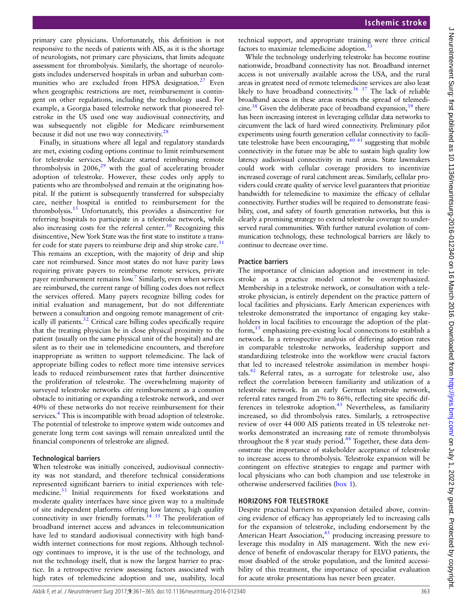primary care physicians. Unfortunately, this definition is not responsive to the needs of patients with AIS, as it is the shortage of neurologists, not primary care physicians, that limits adequate assessment for thrombolysis. Similarly, the shortage of neurologists includes underserved hospitals in urban and suburban com-munities who are excluded from HPSA designation.<sup>[27](#page-5-0)</sup> Even when geographic restrictions are met, reimbursement is contingent on other regulations, including the technology used. For example, a Georgia based telestroke network that pioneered telestroke in the US used one way audiovisual connectivity, and was subsequently not eligible for Medicare reimbursement because it did not use two way connectivity. $28$ 

Finally, in situations where all legal and regulatory standards are met, existing coding options continue to limit reimbursement for telestroke services. Medicare started reimbursing remote thrombolysis in 2006, $2^9$  with the goal of accelerating broader adoption of telestroke. However, these codes only apply to patients who are thrombolysed and remain at the originating hospital. If the patient is subsequently transferred for subspecialty care, neither hospital is entitled to reimbursement for the thrombolysis.[15](#page-4-0) Unfortunately, this provides a disincentive for referring hospitals to participate in a telestroke network, while also increasing costs for the referral center. $30$  Recognizing this disincentive, New York State was the first state to institute a transfer code for state payers to reimburse drip and ship stroke care. $31$ This remains an exception, with the majority of drip and ship care not reimbursed. Since most states do not have parity laws requiring private payers to reimburse remote services, private payer reimbursement remains low.<sup>[7](#page-4-0)</sup> Similarly, even when services are reimbursed, the current range of billing codes does not reflect the services offered. Many payers recognize billing codes for initial evaluation and management, but do not differentiate between a consultation and ongoing remote management of crit-ically ill patients.<sup>[32](#page-5-0)</sup> Critical care billing codes specifically require that the treating physician be in close physical proximity to the patient (usually on the same physical unit of the hospital) and are silent as to their use in telemedicine encounters, and therefore inappropriate as written to support telemedicine. The lack of appropriate billing codes to reflect more time intensive services leads to reduced reimbursement rates that further disincentive the proliferation of telestroke. The overwhelming majority of surveyed telestroke networks cite reimbursement as a common obstacle to initiating or expanding a telestroke network, and over 40% of these networks do not receive reimbursement for their services.<sup>[4](#page-4-0)</sup> This is incompatible with broad adoption of telestroke. The potential of telestroke to improve system wide outcomes and generate long term cost savings will remain unrealized until the financial components of telestroke are aligned.

# Technological barriers

When telestroke was initially conceived, audiovisual connectivity was not standard, and therefore technical considerations represented significant barriers to initial experiences with telemedicine.[33](#page-5-0) Initial requirements for fixed workstations and moderate quality interfaces have since given way to a multitude of site independent platforms offering low latency, high quality connectivity in user friendly formats.<sup>[34 35](#page-5-0)</sup> The proliferation of broadband internet access and advances in telecommunication have led to standard audiovisual connectivity with high bandwidth internet connections for most regions. Although technology continues to improve, it is the use of the technology, and not the technology itself, that is now the largest barrier to practice. In a retrospective review assessing factors associated with high rates of telemedicine adoption and use, usability, local

technical support, and appropriate training were three critical factors to maximize telemedicine adoption.<sup>3</sup>

While the technology underlying telestroke has become routine nationwide, broadband connectivity has not. Broadband internet access is not universally available across the USA, and the rural areas in greatest need of remote telemedicine services are also least likely to have broadband connectivity.<sup>[36 37](#page-5-0)</sup> The lack of reliable broadband access in these areas restricts the spread of telemedicine.<sup>38</sup> Given the deliberate pace of broadband expansion,  $39$  there has been increasing interest in leveraging cellular data networks to circumvent the lack of hard wired connectivity. Preliminary pilot experiments using fourth generation cellular connectivity to facilitate telestroke have been encouraging,  $40\frac{41}{1}$  suggesting that mobile connectivity in the future may be able to sustain high quality low latency audiovisual connectivity in rural areas. State lawmakers could work with cellular coverage providers to incentivize increased coverage of rural catchment areas. Similarly, cellular providers could create quality of service level guarantees that prioritize bandwidth for telemedicine to maximize the efficacy of cellular connectivity. Further studies will be required to demonstrate feasibility, cost, and safety of fourth generation networks, but this is clearly a promising strategy to extend telestroke coverage to underserved rural communities. With further natural evolution of communication technology, these technological barriers are likely to continue to decrease over time.

# Practice barriers

The importance of clinician adoption and investment in telestroke as a practice model cannot be overemphasized. Membership in a telestroke network, or consultation with a telestroke physician, is entirely dependent on the practice pattern of local facilities and physicians. Early American experiences with telestroke demonstrated the importance of engaging key stakeholders in local facilities to encourage the adoption of the platform,  $^{15}$  $^{15}$  $^{15}$  emphasizing pre-existing local connections to establish a network. In a retrospective analysis of differing adoption rates in comparable telestroke networks, leadership support and standardizing telestroke into the workflow were crucial factors that led to increased telestroke assimilation in member hospitals.[42](#page-5-0) Referral rates, as a surrogate for telestroke use, also reflect the correlation between familiarity and utilization of a telestroke network. In an early German telestroke network, referral rates ranged from 2% to 86%, reflecting site specific differences in telestroke adoption. $43$  Nevertheless, as familiarity increased, so did thrombolysis rates. Similarly, a retrospective review of over 44 000 AIS patients treated in US telestroke networks demonstrated an increasing rate of remote thrombolysis throughout the 8 year study period.<sup>44</sup> Together, these data demonstrate the importance of stakeholder acceptance of telestroke to increase access to thrombolysis. Telestroke expansion will be contingent on effective strategies to engage and partner with local physicians who can both champion and use telestroke in otherwise underserved facilities [\(box 1](#page-3-0)).

# HORIZONS FOR TELESTROKE

Despite practical barriers to expansion detailed above, convincing evidence of efficacy has appropriately led to increasing calls for the expansion of telestroke, including endorsement by the American Heart Association, $45$  producing increasing pressure to leverage this modality in AIS management. With the new evidence of benefit of endovascular therapy for ELVO patients, the most disabled of the stroke population, and the limited accessibility of this treatment, the importance of specialist evaluation for acute stroke presentations has never been greater.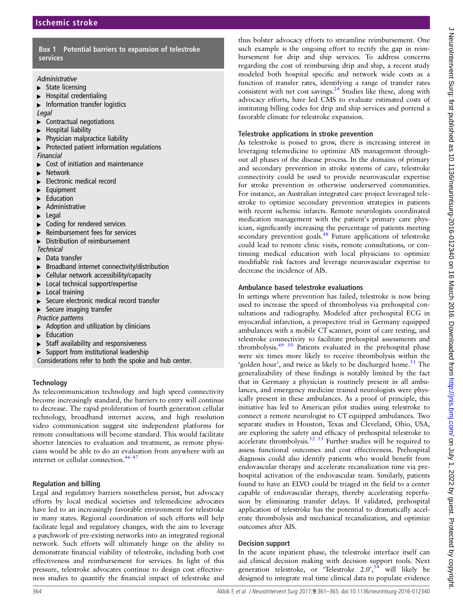# <span id="page-3-0"></span>Box 1 Potential barriers to expansion of telestroke services

## Administrative

- ▸ State licensing
- ▸ Hospital credentialing
- ▸ Information transfer logistics **Legal**
- ▸ Contractual negotiations
- ▸ Hospital liability
- $\blacktriangleright$  Physician malpractice liability
- ▶ Protected patient information regulations Financial
- ▸ Cost of initiation and maintenance
- **Network**
- ▸ Electronic medical record
- **Equipment**
- **Education**
- **Administrative**
- **Legal**
- Coding for rendered services
- Reimbursement fees for services
- ▸ Distribution of reimbursement

Technical

- ▸ Data transfer
- ▸ Broadband internet connectivity/distribution
- ▸ Cellular network accessibility/capacity
- ▸ Local technical support/expertise
- **Local training**
- ▸ Secure electronic medical record transfer
- ▸ Secure imaging transfer
- Practice patterns
- $\blacktriangleright$  Adoption and utilization by clinicians
- **Education**
- Staff availability and responsiveness
- Support from institutional leadership
- Considerations refer to both the spoke and hub center.

# **Technology**

As telecommunication technology and high speed connectivity become increasingly standard, the barriers to entry will continue to decrease. The rapid proliferation of fourth generation cellular technology, broadband internet access, and high resolution video communication suggest site independent platforms for remote consultations will become standard. This would facilitate shorter latencies to evaluation and treatment, as remote physicians would be able to do an evaluation from anywhere with an internet or cellular connection.<sup>46 47</sup>

# Regulation and billing

Legal and regulatory barriers nonetheless persist, but advocacy efforts by local medical societies and telemedicine advocates have led to an increasingly favorable environment for telestroke in many states. Regional coordination of such efforts will help facilitate legal and regulatory changes, with the aim to leverage a patchwork of pre-existing networks into an integrated regional network. Such efforts will ultimately hinge on the ability to demonstrate financial viability of telestroke, including both cost effectiveness and reimbursement for services. In light of this pressure, telestroke advocates continue to design cost effectiveness studies to quantify the financial impact of telestroke and

thus bolster advocacy efforts to streamline reimbursement. One such example is the ongoing effort to rectify the gap in reimbursement for drip and ship services. To address concerns regarding the cost of reimbursing drip and ship, a recent study modeled both hospital specific and network wide costs as a function of transfer rates, identifying a range of transfer rates consistent with net cost savings.[24](#page-5-0) Studies like these, along with advocacy efforts, have led CMS to evaluate estimated costs of instituting billing codes for drip and ship services and portend a favorable climate for telestroke expansion.

# Telestroke applications in stroke prevention

As telestroke is poised to grow, there is increasing interest in leveraging telemedicine to optimize AIS management throughout all phases of the disease process. In the domains of primary and secondary prevention in stroke systems of care, telestroke connectivity could be used to provide neurovascular expertise for stroke prevention in otherwise underserved communities. For instance, an Australian integrated care project leveraged telestroke to optimize secondary prevention strategies in patients with recent ischemic infarcts. Remote neurologists coordinated medication management with the patient's primary care physician, significantly increasing the percentage of patients meeting secondary prevention goals.<sup>[48](#page-5-0)</sup> Future applications of telestroke could lead to remote clinic visits, remote consultations, or continuing medical education with local physicians to optimize modifiable risk factors and leverage neurovascular expertise to decrease the incidence of AIS.

# Ambulance based telestroke evaluations

In settings where prevention has failed, telestroke is now being used to increase the speed of thrombolysis via prehospital consultations and radiography. Modeled after prehospital ECG in myocardial infarction, a prospective trial in Germany equipped ambulances with a mobile CT scanner, point of care testing, and telestroke connectivity to facilitate prehospital assessments and thrombolysis.<sup>[49 50](#page-5-0)</sup> Patients evaluated in the prehospital phase were six times more likely to receive thrombolysis within the 'golden hour', and twice as likely to be discharged home.<sup>[51](#page-5-0)</sup> The generalizability of these findings is notably limited by the fact that in Germany a physician is routinely present in all ambulances, and emergency medicine trained neurologists were physically present in these ambulances. As a proof of principle, this initiative has led to American pilot studies using telestroke to connect a remote neurologist to CT equipped ambulances. Two separate studies in Houston, Texas and Cleveland, Ohio, USA, are exploring the safety and efficacy of prehospital telestroke to accelerate thrombolysis.<sup>[52 53](#page-5-0)</sup> Further studies will be required to assess functional outcomes and cost effectiveness. Prehospital diagnosis could also identify patients who would benefit from endovascular therapy and accelerate recanalization time via prehospital activation of the endovascular team. Similarly, patients found to have an ELVO could be triaged in the field to a center capable of endovascular therapy, thereby accelerating reperfusion by eliminating transfer delays. If validated, prehospital application of telestroke has the potential to dramatically accelerate thrombolysis and mechanical recanalization, and optimize outcomes after AIS.

# Decision support

In the acute inpatient phase, the telestroke interface itself can aid clinical decision making with decision support tools. Next generation telestroke, or 'Telestroke  $2.0$ ',  $54$  will likely be designed to integrate real time clinical data to populate evidence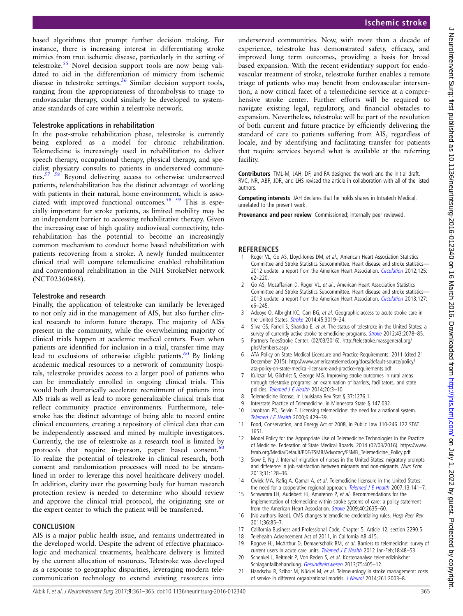<span id="page-4-0"></span>based algorithms that prompt further decision making. For instance, there is increasing interest in differentiating stroke mimics from true ischemic disease, particularly in the setting of telestroke. $55$  Novel decision support tools are now being validated to aid in the differentiation of mimicry from ischemic disease in telestroke settings.<sup>[56](#page-5-0)</sup> Similar decision support tools, ranging from the appropriateness of thrombolysis to triage to endovascular therapy, could similarly be developed to systematize standards of care within a telestroke network.

## Telestroke applications in rehabilitation

In the post-stroke rehabilitation phase, telestroke is currently being explored as a model for chronic rehabilitation. Telemedicine is increasingly used in rehabilitation to deliver speech therapy, occupational therapy, physical therapy, and specialist physiatry consults to patients in underserved communities.<sup>57</sup> <sup>58</sup> Beyond delivering access to otherwise underserved patients, telerehabilitation has the distinct advantage of working with patients in their natural, home environment, which is asso-ciated with improved functional outcomes.<sup>[58 59](#page-5-0)</sup> This is especially important for stroke patients, as limited mobility may be an independent barrier to accessing rehabilitative therapy. Given the increasing ease of high quality audiovisual connectivity, telerehabilitation has the potential to become an increasingly common mechanism to conduct home based rehabilitation with patients recovering from a stroke. A newly funded multicenter clinical trial will compare telemedicine enabled rehabilitation and conventional rehabilitation in the NIH StrokeNet network (NCT02360488).

# Telestroke and research

Finally, the application of telestroke can similarly be leveraged to not only aid in the management of AIS, but also further clinical research to inform future therapy. The majority of AISs present in the community, while the overwhelming majority of clinical trials happen at academic medical centers. Even when patients are identified for inclusion in a trial, transfer time may lead to exclusions of otherwise eligible patients. $60$  By linking academic medical resources to a network of community hospitals, telestroke provides access to a larger pool of patients who can be immediately enrolled in ongoing clinical trials. This would both dramatically accelerate recruitment of patients into AIS trials as well as lead to more generalizable clinical trials that reflect community practice environments. Furthermore, telestroke has the distinct advantage of being able to record entire clinical encounters, creating a repository of clinical data that can be independently assessed and mined by multiple investigators. Currently, the use of telestroke as a research tool is limited by protocols that require in-person, paper based consent.<sup>60</sup> To realize the potential of telestroke in clinical research, both consent and randomization processes will need to be streamlined in order to leverage this novel healthcare delivery model. In addition, clarity over the governing body for human research protection review is needed to determine who should review and approve the clinical trial protocol, the originating site or the expert center to which the patient will be transferred.

# **CONCLUSION**

AIS is a major public health issue, and remains undertreated in the developed world. Despite the advent of effective pharmacologic and mechanical treatments, healthcare delivery is limited by the current allocation of resources. Telestroke was developed as a response to geographic disparities, leveraging modern telecommunication technology to extend existing resources into

underserved communities. Now, with more than a decade of experience, telestroke has demonstrated safety, efficacy, and improved long term outcomes, providing a basis for broad based expansion. With the recent evidentiary support for endovascular treatment of stroke, telestroke further enables a remote triage of patients who may benefit from endovascular intervention, a now critical facet of a telemedicine service at a comprehensive stroke center. Further efforts will be required to navigate existing legal, regulatory, and financial obstacles to expansion. Nevertheless, telestroke will be part of the revolution of both current and future practice by efficiently delivering the standard of care to patients suffering from AIS, regardless of locale, and by identifying and facilitating transfer for patients that require services beyond what is available at the referring facility.

Contributors TML-M, JAH, DF, and FA designed the work and the initial draft. RVC, NR, ABP, JDR, and LHS revised the article in collaboration with all of the listed authors.

Competing interests JAH declares that he holds shares in Intratech Medical, unrelated to the present work.

Provenance and peer review Commissioned; internally peer reviewed.

# **REFERENCES**

- 1 Roger VL, Go AS, Lloyd-Jones DM, et al., American Heart Association Statistics Committee and Stroke Statistics Subcommittee. Heart disease and stroke statistics— 2012 update: a report from the American Heart Association. *[Circulation](http://dx.doi.org/10.1161/CIR.0b013e31823ac046)* 2012;125: e2–220.
- 2 Go AS, Mozaffarian D, Roger VL, et al., American Heart Association Statistics Committee and Stroke Statistics Subcommittee. Heart disease and stroke statistics— 2013 update: a report from the American Heart Association. [Circulation](http://dx.doi.org/10.1161/CIR.0b013e31828124ad) 2013;127: e6–245.
- 3 Adeoye O, Albright KC, Carr BG, et al. Geographic access to acute stroke care in the United States. [Stroke](http://dx.doi.org/10.1161/STROKEAHA.114.006293) 2014;45:3019-24.
- Silva GS, Farrell S, Shandra E, et al. The status of telestroke in the United States: a survey of currently active stroke telemedicine programs. **[Stroke](http://dx.doi.org/10.1161/STROKEAHA.111.645861)** 2012;43:2078–85.
- Partners TelesStroke Center. (02/03/2016). [http://telestroke.massgeneral.org/](http://telestroke.massgeneral.org/phsMembers.aspx) [phsMembers.aspx](http://telestroke.massgeneral.org/phsMembers.aspx)
- 6 ATA Policy on State Medical Licensure and Practice Requirements. 2011 (cited 21 December 2015). [http://www.americantelemed.org/docs/default-source/policy/](http://www.americantelemed.org/docs/default-source/policy/ata-policy-on-state-medical-licensure-and-practice-requirements.pdf) [ata-policy-on-state-medical-licensure-and-practice-requirements.pdf](http://www.americantelemed.org/docs/default-source/policy/ata-policy-on-state-medical-licensure-and-practice-requirements.pdf)
- 7 Kulcsar M, Gilchrist S, George MG. Improving stroke outcomes in rural areas through telestroke programs: an examination of barriers, facilitators, and state policies. [Telemed J E Health](http://dx.doi.org/10.1089/tmj.2013.0048) 2014;20:3-10.
- 8 Telemedicine license, in Louisiana Rev Stat § 37:1276.1.
- 9 Interstate Practice of Telemedicine, in Minnesota State § 147.032.
- 10 Jacobson PD, Selvin E. Licensing telemedicine: the need for a national system. [Telemed J E Health](http://dx.doi.org/10.1089/15305620050503915) 2000;6:429–39.
- 11 Food, Conservation, and Energy Act of 2008, in Public Law 110-246 122 STAT. 1651.
- 12 Model Policy for the Appropriate Use of Telemedicine Technologies in the Practice of Medicine. Federation of State Medical Boards. 2014 (02/03/2016). [https://www.](https://www.fsmb.org/Media/Default/PDF/FSMB/Advocacy/FSMB_Telemedicine_Policy.pdf) [fsmb.org/Media/Default/PDF/FSMB/Advocacy/FSMB\\_Telemedicine\\_Policy.pdf](https://www.fsmb.org/Media/Default/PDF/FSMB/Advocacy/FSMB_Telemedicine_Policy.pdf)
- 13 Siow E, Ng J. Internal migration of nurses in the United States: migratory prompts and difference in job satisfaction between migrants and non-migrants. Nurs Econ 2013;31:128–36.
- 14 Cwiek MA, Rafiq A, Qamar A, et al. Telemedicine licensure in the United States: the need for a cooperative regional approach. [Telemed J E Health](http://dx.doi.org/10.1089/tmj.2006.0029) 2007;13:141-7.
- Schwamm LH, Audebert HJ, Amarenco P, et al. Recommendations for the implementation of telemedicine within stroke systems of care: a policy statement from the American Heart Association. [Stroke](http://dx.doi.org/10.1161/STROKEAHA.109.192361) 2009;40:2635-60.
- 16 [No authors listed]. CMS changes telemedicine credentialing rules. Hosp Peer Rev 2011;36:85–7.
- 17 California Business and Professional Code, Chapter 5, Article 12, section 2290.5.
- 18 Telehealth Advancement Act of 2011, in California AB 415.
- 19 Rogove HJ, McArthur D, Demaerschalk BM, et al. Barriers to telemedicine: survey of current users in acute care units. [Telemed J E Health](http://dx.doi.org/10.1089/tmj.2011.0071) 2012 Jan-Feb;18:48-53.
- 20 Schenkel J, Reitmeir P, Von Reden S, et al. Kostenanalyse telemedizinischer Schlaganfallbehandlung. [Gesundheitswesen](http://dx.doi.org/10.1055/s-0032-1321779) 2013;75:405-12.
- 21 Handschu R, Scibor M, Nückel M, et al. Teleneurology in stroke management: costs of service in different organizational models. [J Neurol](http://dx.doi.org/10.1007/s00415-014-7450-4) 2014;261:2003-8.